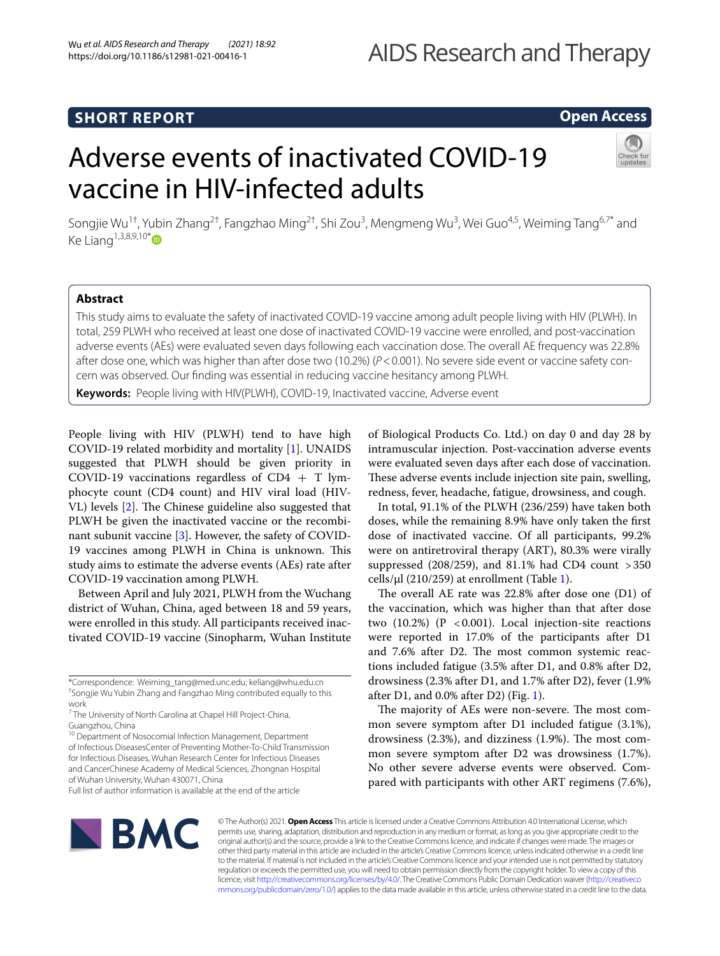# **SHORT REPORT**

## **Open Access**

# Adverse events of inactivated COVID-19 vaccine in HIV-infected adults



Songjie Wu<sup>1†</sup>, Yubin Zhang<sup>2†</sup>, Fangzhao Ming<sup>2†</sup>, Shi Zou<sup>3</sup>, Mengmeng Wu<sup>3</sup>, Wei Guo<sup>4,5</sup>, Weiming Tang<sup>6,7\*</sup> and Ke Liang<sup>1,3,8,9,10[\\*](http://orcid.org/0000-0003-0490-5328)</sup> $\bullet$ 

## **Abstract**

This study aims to evaluate the safety of inactivated COVID-19 vaccine among adult people living with HIV (PLWH). In total, 259 PLWH who received at least one dose of inactivated COVID-19 vaccine were enrolled, and post-vaccination adverse events (AEs) were evaluated seven days following each vaccination dose. The overall AE frequency was 22.8% after dose one, which was higher than after dose two (10.2%) ( $P < 0.001$ ). No severe side event or vaccine safety concern was observed. Our fnding was essential in reducing vaccine hesitancy among PLWH.

**Keywords:** People living with HIV(PLWH), COVID-19, Inactivated vaccine, Adverse event

People living with HIV (PLWH) tend to have high COVID-19 related morbidity and mortality [\[1](#page-3-0)]. UNAIDS suggested that PLWH should be given priority in COVID-19 vaccinations regardless of  $CD4 + T$  lymphocyte count (CD4 count) and HIV viral load (HIV-VL) levels [[2\]](#page-3-1). The Chinese guideline also suggested that PLWH be given the inactivated vaccine or the recombinant subunit vaccine [[3\]](#page-3-2). However, the safety of COVID-19 vaccines among PLWH in China is unknown. This study aims to estimate the adverse events (AEs) rate after COVID-19 vaccination among PLWH.

Between April and July 2021, PLWH from the Wuchang district of Wuhan, China, aged between 18 and 59 years, were enrolled in this study. All participants received inactivated COVID-19 vaccine (Sinopharm, Wuhan Institute

\*Correspondence: Weiming\_tang@med.unc.edu; keliang@whu.edu.cn † Songjie Wu Yubin Zhang and Fangzhao Ming contributed equally to this work

<sup>10</sup> Department of Nosocomial Infection Management, Department of Infectious DiseasesCenter of Preventing Mother-To-Child Transmission for Infectious Diseases, Wuhan Research Center for Infectious Diseases and CancerChinese Academy of Medical Sciences, Zhongnan Hospital of Wuhan University, Wuhan 430071, China

Full list of author information is available at the end of the article

of Biological Products Co. Ltd.) on day 0 and day 28 by intramuscular injection. Post-vaccination adverse events were evaluated seven days after each dose of vaccination. These adverse events include injection site pain, swelling, redness, fever, headache, fatigue, drowsiness, and cough.

In total, 91.1% of the PLWH (236/259) have taken both doses, while the remaining 8.9% have only taken the frst dose of inactivated vaccine. Of all participants, 99.2% were on antiretroviral therapy (ART), 80.3% were virally suppressed (208/259), and 81.1% had CD4 count >350 cells/μl (210/259) at enrollment (Table [1](#page-1-0)).

The overall AE rate was  $22.8\%$  after dose one (D1) of the vaccination, which was higher than that after dose two  $(10.2%) (P < 0.001)$ . Local injection-site reactions were reported in 17.0% of the participants after D1 and 7.6% after D2. The most common systemic reactions included fatigue (3.5% after D1, and 0.8% after D2, drowsiness (2.3% after D1, and 1.7% after D2), fever (1.9% after D1, and  $0.0\%$  after D2) (Fig. [1](#page-2-0)).

The majority of AEs were non-severe. The most common severe symptom after D1 included fatigue (3.1%), drowsiness  $(2.3\%)$ , and dizziness  $(1.9\%)$ . The most common severe symptom after D2 was drowsiness (1.7%). No other severe adverse events were observed. Compared with participants with other ART regimens (7.6%),



© The Author(s) 2021. **Open Access** This article is licensed under a Creative Commons Attribution 4.0 International License, which permits use, sharing, adaptation, distribution and reproduction in any medium or format, as long as you give appropriate credit to the original author(s) and the source, provide a link to the Creative Commons licence, and indicate if changes were made. The images or other third party material in this article are included in the article's Creative Commons licence, unless indicated otherwise in a credit line to the material. If material is not included in the article's Creative Commons licence and your intended use is not permitted by statutory regulation or exceeds the permitted use, you will need to obtain permission directly from the copyright holder. To view a copy of this licence, visit [http://creativecommons.org/licenses/by/4.0/.](http://creativecommons.org/licenses/by/4.0/) The Creative Commons Public Domain Dedication waiver ([http://creativeco](http://creativecommons.org/publicdomain/zero/1.0/) [mmons.org/publicdomain/zero/1.0/](http://creativecommons.org/publicdomain/zero/1.0/)) applies to the data made available in this article, unless otherwise stated in a credit line to the data.

<sup>&</sup>lt;sup>7</sup> The University of North Carolina at Chapel Hill Project-China, Guangzhou, China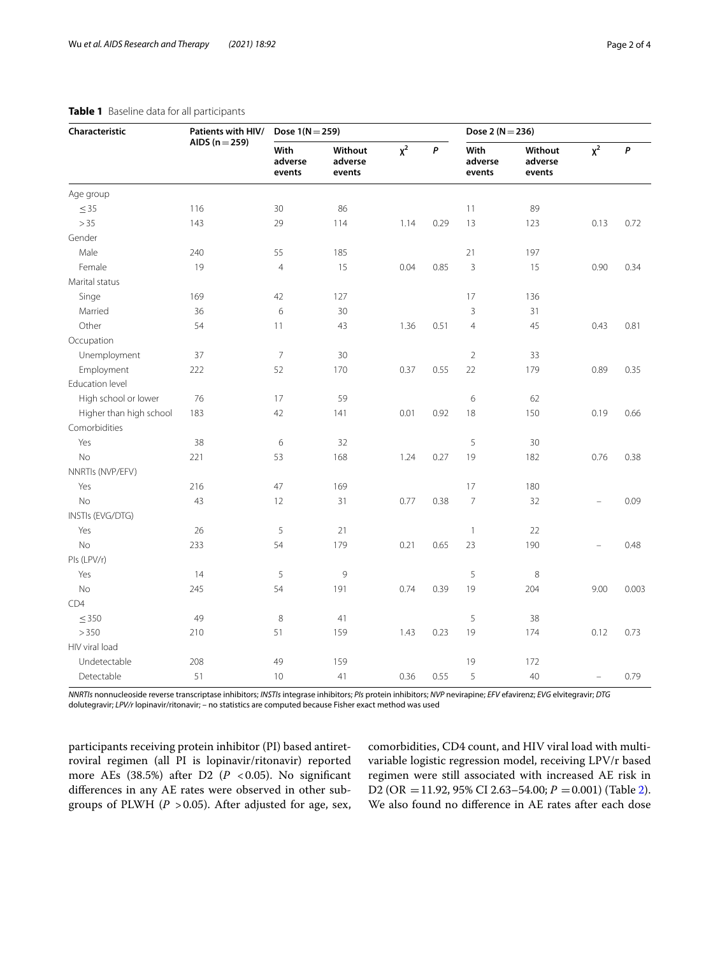| Characteristic          | Patients with HIV/<br>AIDS ( $n = 259$ ) | Dose $1(N = 259)$         |                              |          |           | Dose 2 ( $N = 236$ )      |                              |                          |              |
|-------------------------|------------------------------------------|---------------------------|------------------------------|----------|-----------|---------------------------|------------------------------|--------------------------|--------------|
|                         |                                          | With<br>adverse<br>events | Without<br>adverse<br>events | $\chi^2$ | $\pmb{P}$ | With<br>adverse<br>events | Without<br>adverse<br>events | $\chi^2$                 | $\pmb{\rho}$ |
| Age group               |                                          |                           |                              |          |           |                           |                              |                          |              |
| $\leq$ 35               | 116                                      | 30                        | 86                           |          |           | 11                        | 89                           |                          |              |
| >35                     | 143                                      | 29                        | 114                          | 1.14     | 0.29      | 13                        | 123                          | 0.13                     | 0.72         |
| Gender                  |                                          |                           |                              |          |           |                           |                              |                          |              |
| Male                    | 240                                      | 55                        | 185                          |          |           | 21                        | 197                          |                          |              |
| Female                  | 19                                       | $\overline{4}$            | 15                           | 0.04     | 0.85      | 3                         | 15                           | 0.90                     | 0.34         |
| Marital status          |                                          |                           |                              |          |           |                           |                              |                          |              |
| Singe                   | 169                                      | 42                        | 127                          |          |           | 17                        | 136                          |                          |              |
| Married                 | 36                                       | 6                         | 30                           |          |           | 3                         | 31                           |                          |              |
| Other                   | 54                                       | 11                        | 43                           | 1.36     | 0.51      | $\overline{4}$            | 45                           | 0.43                     | 0.81         |
| Occupation              |                                          |                           |                              |          |           |                           |                              |                          |              |
| Unemployment            | 37                                       | $\overline{7}$            | 30                           |          |           | $\overline{2}$            | 33                           |                          |              |
| Employment              | 222                                      | 52                        | 170                          | 0.37     | 0.55      | 22                        | 179                          | 0.89                     | 0.35         |
| Education level         |                                          |                           |                              |          |           |                           |                              |                          |              |
| High school or lower    | 76                                       | 17                        | 59                           |          |           | 6                         | 62                           |                          |              |
| Higher than high school | 183                                      | 42                        | 141                          | 0.01     | 0.92      | 18                        | 150                          | 0.19                     | 0.66         |
| Comorbidities           |                                          |                           |                              |          |           |                           |                              |                          |              |
| Yes                     | 38                                       | 6                         | 32                           |          |           | 5                         | 30                           |                          |              |
| <b>No</b>               | 221                                      | 53                        | 168                          | 1.24     | 0.27      | 19                        | 182                          | 0.76                     | 0.38         |
| NNRTIs (NVP/EFV)        |                                          |                           |                              |          |           |                           |                              |                          |              |
| Yes                     | 216                                      | 47                        | 169                          |          |           | 17                        | 180                          |                          |              |
| <b>No</b>               | 43                                       | 12                        | 31                           | 0.77     | 0.38      | $\overline{7}$            | 32                           | $\overline{\phantom{0}}$ | 0.09         |
| INSTIs (EVG/DTG)        |                                          |                           |                              |          |           |                           |                              |                          |              |
| Yes                     | 26                                       | 5                         | 21                           |          |           | $\mathbf{1}$              | 22                           |                          |              |
| <b>No</b>               | 233                                      | 54                        | 179                          | 0.21     | 0.65      | 23                        | 190                          | $\overline{a}$           | 0.48         |
| PIs (LPV/r)             |                                          |                           |                              |          |           |                           |                              |                          |              |
| Yes                     | 14                                       | 5                         | 9                            |          |           | 5                         | $\,8\,$                      |                          |              |
| No                      | 245                                      | 54                        | 191                          | 0.74     | 0.39      | 19                        | 204                          | 9.00                     | 0.003        |
| CD4                     |                                          |                           |                              |          |           |                           |                              |                          |              |
| $\leq$ 350              | 49                                       | 8                         | 41                           |          |           | 5                         | 38                           |                          |              |
| >350                    | 210                                      | 51                        | 159                          | 1.43     | 0.23      | 19                        | 174                          | 0.12                     | 0.73         |
| HIV viral load          |                                          |                           |                              |          |           |                           |                              |                          |              |
| Undetectable            | 208                                      | 49                        | 159                          |          |           | 19                        | 172                          |                          |              |
| Detectable              | 51                                       | 10                        | 41                           | 0.36     | 0.55      | 5                         | 40                           |                          | 0.79         |

#### <span id="page-1-0"></span>**Table 1** Baseline data for all participants

*NNRTIs* nonnucleoside reverse transcriptase inhibitors; *INSTIs* integrase inhibitors; *PIs* protein inhibitors; *NVP* nevirapine; *EFV* efavirenz; *EVG* elvitegravir; *DTG* dolutegravir; *LPV/r* lopinavir/ritonavir; *–* no statistics are computed because Fisher exact method was used

participants receiving protein inhibitor (PI) based antiretroviral regimen (all PI is lopinavir/ritonavir) reported more AEs (38.5%) after D2 (P <0.05). No significant diferences in any AE rates were observed in other subgroups of PLWH ( $P > 0.05$ ). After adjusted for age, sex, comorbidities, CD4 count, and HIV viral load with multivariable logistic regression model, receiving LPV/r based regimen were still associated with increased AE risk in D2 (OR = 11.92, 95% CI [2](#page-2-1).63-54.00; *P* = 0.001) (Table 2). We also found no diference in AE rates after each dose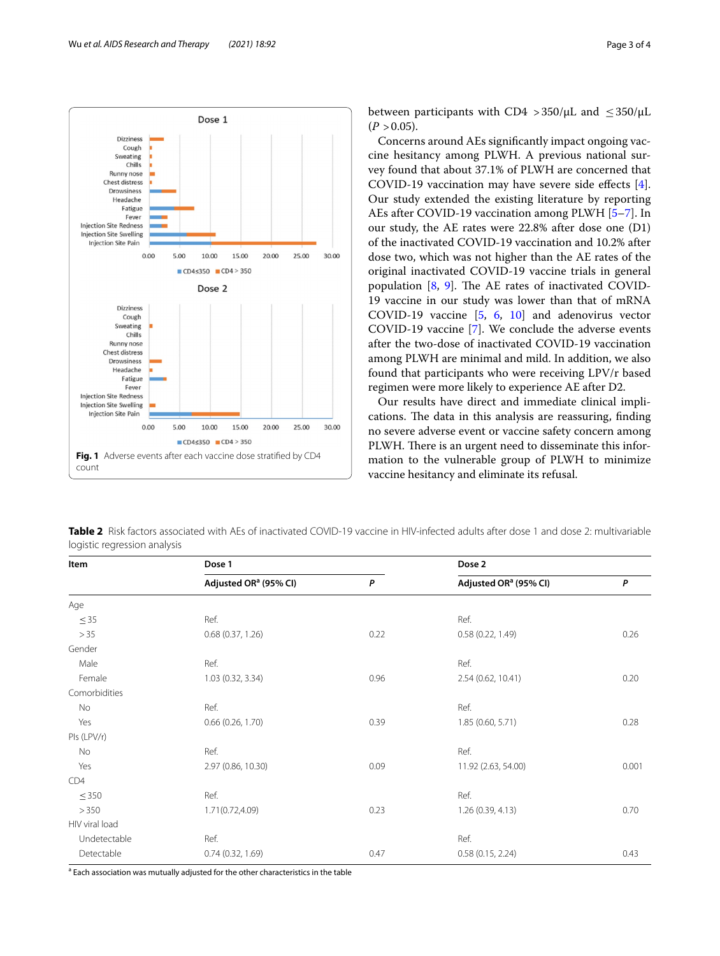

between participants with CD4 > 350/μL and  $\leq$  350/μL  $(P > 0.05)$ .

Concerns around AEs signifcantly impact ongoing vaccine hesitancy among PLWH. A previous national survey found that about 37.1% of PLWH are concerned that COVID-19 vaccination may have severe side efects [\[4](#page-3-3)]. Our study extended the existing literature by reporting AEs after COVID-19 vaccination among PLWH [\[5](#page-3-4)[–7\]](#page-3-5). In our study, the AE rates were 22.8% after dose one (D1) of the inactivated COVID-19 vaccination and 10.2% after dose two, which was not higher than the AE rates of the original inactivated COVID-19 vaccine trials in general population  $[8, 9]$  $[8, 9]$  $[8, 9]$  $[8, 9]$ . The AE rates of inactivated COVID-19 vaccine in our study was lower than that of mRNA COVID-19 vaccine [[5,](#page-3-4) [6,](#page-3-8) [10\]](#page-3-9) and adenovirus vector COVID-19 vaccine [[7](#page-3-5)]. We conclude the adverse events after the two-dose of inactivated COVID-19 vaccination among PLWH are minimal and mild. In addition, we also found that participants who were receiving LPV/r based regimen were more likely to experience AE after D2.

Our results have direct and immediate clinical implications. The data in this analysis are reassuring, finding no severe adverse event or vaccine safety concern among PLWH. There is an urgent need to disseminate this information to the vulnerable group of PLWH to minimize vaccine hesitancy and eliminate its refusal.

<span id="page-2-1"></span><span id="page-2-0"></span>**Table 2** Risk factors associated with AEs of inactivated COVID-19 vaccine in HIV-infected adults after dose 1 and dose 2: multivariable logistic regression analysis

| Item           | Dose 1                            |      | Dose 2                            |       |  |  |
|----------------|-----------------------------------|------|-----------------------------------|-------|--|--|
|                | Adjusted OR <sup>a</sup> (95% CI) | P    | Adjusted OR <sup>a</sup> (95% CI) | P     |  |  |
| Age            |                                   |      |                                   |       |  |  |
| $\leq$ 35      | Ref.                              |      | Ref.                              |       |  |  |
| >35            | 0.68(0.37, 1.26)                  | 0.22 | 0.58(0.22, 1.49)                  | 0.26  |  |  |
| Gender         |                                   |      |                                   |       |  |  |
| Male           | Ref.                              |      | Ref.                              |       |  |  |
| Female         | 1.03 (0.32, 3.34)                 | 0.96 | 2.54 (0.62, 10.41)                | 0.20  |  |  |
| Comorbidities  |                                   |      |                                   |       |  |  |
| No             | Ref.                              |      | Ref.                              |       |  |  |
| Yes            | $0.66$ $(0.26, 1.70)$             | 0.39 | 1.85 (0.60, 5.71)                 | 0.28  |  |  |
| Pls (LPV/r)    |                                   |      |                                   |       |  |  |
| No             | Ref.                              |      | Ref.                              |       |  |  |
| Yes            | 2.97 (0.86, 10.30)                | 0.09 | 11.92 (2.63, 54.00)               | 0.001 |  |  |
| CD4            |                                   |      |                                   |       |  |  |
| $\leq$ 350     | Ref.                              |      | Ref.                              |       |  |  |
| >350           | 1.71(0.72,4.09)                   | 0.23 | 1.26(0.39, 4.13)                  | 0.70  |  |  |
| HIV viral load |                                   |      |                                   |       |  |  |
| Undetectable   | Ref.                              |      | Ref.                              |       |  |  |
| Detectable     | 0.74(0.32, 1.69)                  | 0.47 | 0.58(0.15, 2.24)                  | 0.43  |  |  |

<sup>a</sup> Each association was mutually adjusted for the other characteristics in the table